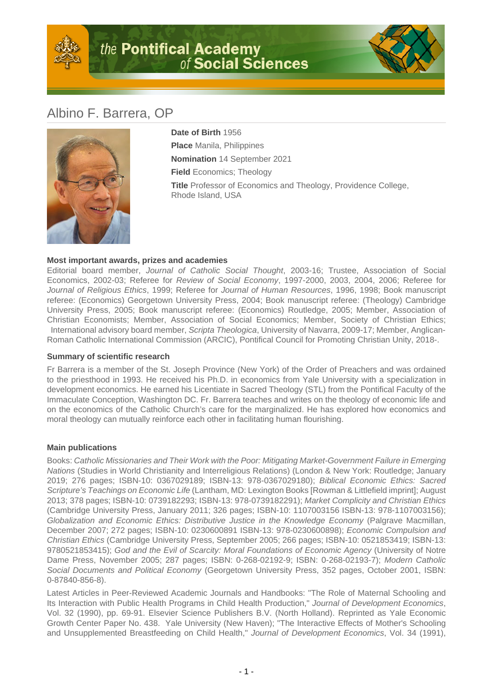



## Albino F. Barrera, OP



**Date of Birth** 1956 **Place** Manila, Philippines **Nomination** 14 September 2021 **Field** Economics; Theology **Title** Professor of Economics and Theology, Providence College, Rhode Island, USA

## **Most important awards, prizes and academies**

Editorial board member, Journal of Catholic Social Thought, 2003-16; Trustee, Association of Social Economics, 2002-03; Referee for Review of Social Economy, 1997-2000, 2003, 2004, 2006; Referee for Journal of Religious Ethics, 1999; Referee for Journal of Human Resources, 1996, 1998; Book manuscript referee: (Economics) Georgetown University Press, 2004; Book manuscript referee: (Theology) Cambridge University Press, 2005; Book manuscript referee: (Economics) Routledge, 2005; Member, Association of Christian Economists; Member, Association of Social Economics; Member, Society of Christian Ethics; International advisory board member, Scripta Theologica, University of Navarra, 2009-17; Member, Anglican-Roman Catholic International Commission (ARCIC), Pontifical Council for Promoting Christian Unity, 2018-.

## **Summary of scientific research**

Fr Barrera is a member of the St. Joseph Province (New York) of the Order of Preachers and was ordained to the priesthood in 1993. He received his Ph.D. in economics from Yale University with a specialization in development economics. He earned his Licentiate in Sacred Theology (STL) from the Pontifical Faculty of the Immaculate Conception, Washington DC. Fr. Barrera teaches and writes on the theology of economic life and on the economics of the Catholic Church's care for the marginalized. He has explored how economics and moral theology can mutually reinforce each other in facilitating human flourishing.

## **Main publications**

Books: Catholic Missionaries and Their Work with the Poor: Mitigating Market-Government Failure in Emerging Nations (Studies in World Christianity and Interreligious Relations) (London & New York: Routledge; January 2019; 276 pages; ISBN-10: 0367029189; ISBN-13: 978-0367029180); Biblical Economic Ethics: Sacred Scripture's Teachings on Economic Life (Lantham, MD: Lexington Books [Rowman & Littlefield imprint]; August 2013; 378 pages; ISBN-10: 0739182293; ISBN-13: 978-0739182291); Market Complicity and Christian Ethics (Cambridge University Press, January 2011; 326 pages; ISBN-10: 1107003156 ISBN-13: 978-1107003156); Globalization and Economic Ethics: Distributive Justice in the Knowledge Economy (Palgrave Macmillan, December 2007; 272 pages; ISBN-10: 0230600891 ISBN-13: 978-0230600898); Economic Compulsion and Christian Ethics (Cambridge University Press, September 2005; 266 pages; ISBN-10: 0521853419; ISBN-13: 9780521853415); God and the Evil of Scarcity: Moral Foundations of Economic Agency (University of Notre Dame Press, November 2005; 287 pages; ISBN: 0-268-02192-9; ISBN: 0-268-02193-7); Modern Catholic Social Documents and Political Economy (Georgetown University Press, 352 pages, October 2001, ISBN: 0-87840-856-8).

Latest Articles in Peer-Reviewed Academic Journals and Handbooks: "The Role of Maternal Schooling and Its Interaction with Public Health Programs in Child Health Production," Journal of Development Economics, Vol. 32 (1990), pp. 69-91. Elsevier Science Publishers B.V. (North Holland). Reprinted as Yale Economic Growth Center Paper No. 438. Yale University (New Haven); "The Interactive Effects of Mother's Schooling and Unsupplemented Breastfeeding on Child Health," Journal of Development Economics, Vol. 34 (1991),